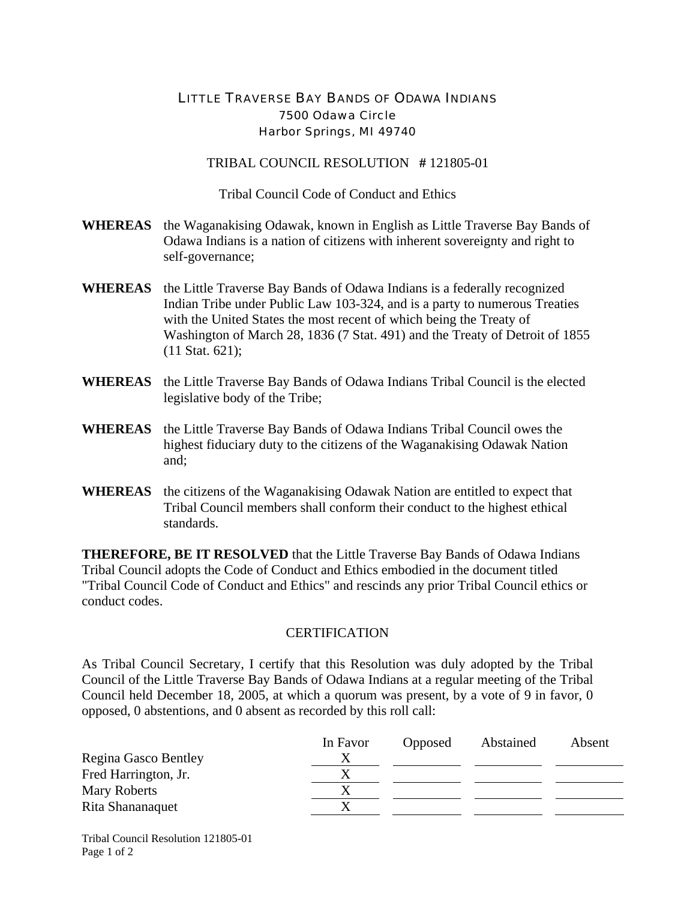## LITTLE TRAVERSE BAY BANDS OF ODAWA INDIANS 7500 Odawa Circle Harbor Springs, MI 49740

TRIBAL COUNCIL RESOLUTION **#** 121805-01

Tribal Council Code of Conduct and Ethics

- **WHEREAS** the Waganakising Odawak, known in English as Little Traverse Bay Bands of Odawa Indians is a nation of citizens with inherent sovereignty and right to self-governance;
- **WHEREAS** the Little Traverse Bay Bands of Odawa Indians is a federally recognized Indian Tribe under Public Law 103-324, and is a party to numerous Treaties with the United States the most recent of which being the Treaty of Washington of March 28, 1836 (7 Stat. 491) and the Treaty of Detroit of 1855 (11 Stat. 621);
- **WHEREAS** the Little Traverse Bay Bands of Odawa Indians Tribal Council is the elected legislative body of the Tribe;
- **WHEREAS** the Little Traverse Bay Bands of Odawa Indians Tribal Council owes the highest fiduciary duty to the citizens of the Waganakising Odawak Nation and;
- **WHEREAS** the citizens of the Waganakising Odawak Nation are entitled to expect that Tribal Council members shall conform their conduct to the highest ethical standards.

**THEREFORE, BE IT RESOLVED** that the Little Traverse Bay Bands of Odawa Indians Tribal Council adopts the Code of Conduct and Ethics embodied in the document titled "Tribal Council Code of Conduct and Ethics" and rescinds any prior Tribal Council ethics or conduct codes.

## **CERTIFICATION**

As Tribal Council Secretary, I certify that this Resolution was duly adopted by the Tribal Council of the Little Traverse Bay Bands of Odawa Indians at a regular meeting of the Tribal Council held December 18, 2005, at which a quorum was present, by a vote of 9 in favor, 0 opposed, 0 abstentions, and 0 absent as recorded by this roll call:

|                      | In Favor | Opposed | Abstained | Absent |
|----------------------|----------|---------|-----------|--------|
| Regina Gasco Bentley |          |         |           |        |
| Fred Harrington, Jr. |          |         |           |        |
| Mary Roberts         |          |         |           |        |
| Rita Shananaquet     |          |         |           |        |

Tribal Council Resolution 121805-01 Page 1 of 2